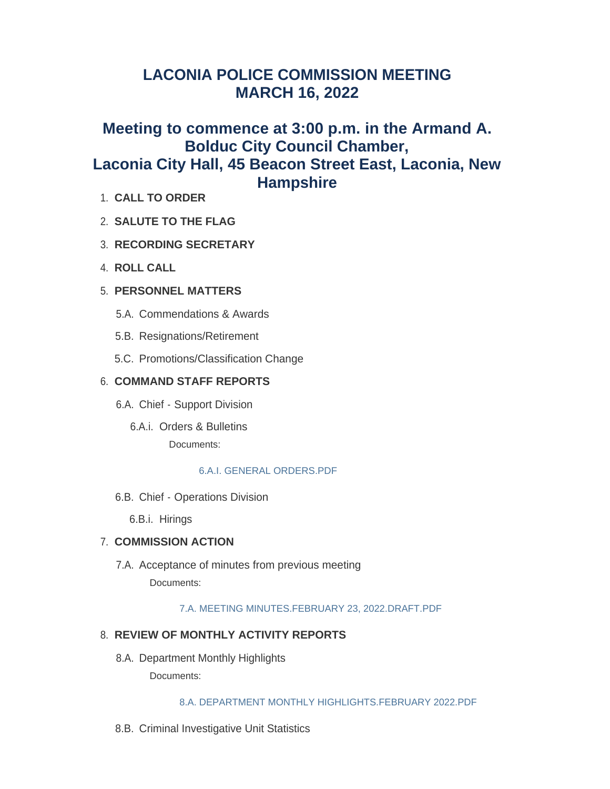# **LACONIA POLICE COMMISSION MEETING MARCH 16, 2022**

# **Meeting to commence at 3:00 p.m. in the Armand A. Bolduc City Council Chamber, Laconia City Hall, 45 Beacon Street East, Laconia, New Hampshire**

- **CALL TO ORDER** 1.
- **SALUTE TO THE FLAG** 2.
- **RECORDING SECRETARY** 3.
- **ROLL CALL** 4.
- **PERSONNEL MATTERS** 5.
	- 5.A. Commendations & Awards
	- 5.B. Resignations/Retirement
	- 5.C. Promotions/Classification Change

## **COMMAND STAFF REPORTS** 6.

- 6.A. Chief Support Division
	- 6.A.i. Orders & Bulletins Documents:

### [6.A.I. GENERAL ORDERS.PDF](https://www.laconianh.gov/AgendaCenter/ViewFile/Item/19895?fileID=43160)

6.B. Chief - Operations Division

6.B.i. Hirings

## **COMMISSION ACTION** 7.

7.A. Acceptance of minutes from previous meeting Documents:

[7.A. MEETING MINUTES.FEBRUARY 23, 2022.DRAFT.PDF](https://www.laconianh.gov/AgendaCenter/ViewFile/Item/19888?fileID=43152)

## **REVIEW OF MONTHLY ACTIVITY REPORTS** 8.

8.A. Department Monthly Highlights

Documents:

#### [8.A. DEPARTMENT MONTHLY HIGHLIGHTS.FEBRUARY 2022.PDF](https://www.laconianh.gov/AgendaCenter/ViewFile/Item/19889?fileID=43153)

8.B. Criminal Investigative Unit Statistics